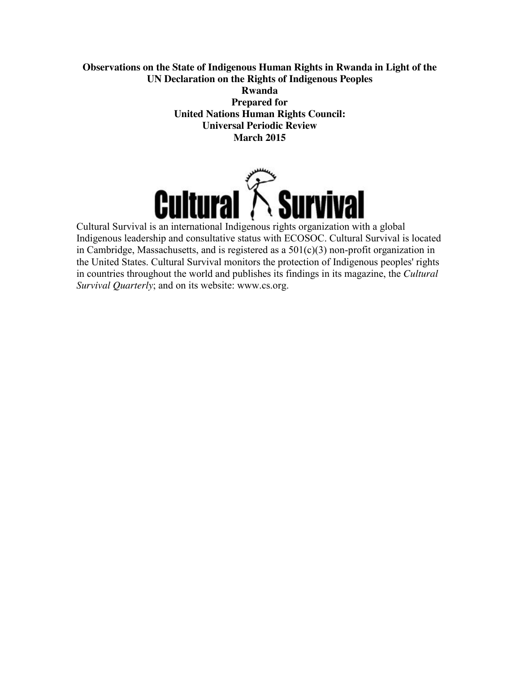## **Observations on the State of Indigenous Human Rights in Rwanda in Light of the UN Declaration on the Rights of Indigenous Peoples Rwanda**

**Prepared for United Nations Human Rights Council: Universal Periodic Review March 2015**



Cultural Survival is an international Indigenous rights organization with a global Indigenous leadership and consultative status with ECOSOC. Cultural Survival is located in Cambridge, Massachusetts, and is registered as a  $501(c)(3)$  non-profit organization in the United States. Cultural Survival monitors the protection of Indigenous peoples' rights in countries throughout the world and publishes its findings in its magazine, the *Cultural Survival Quarterly*; and on its website: www.cs.org.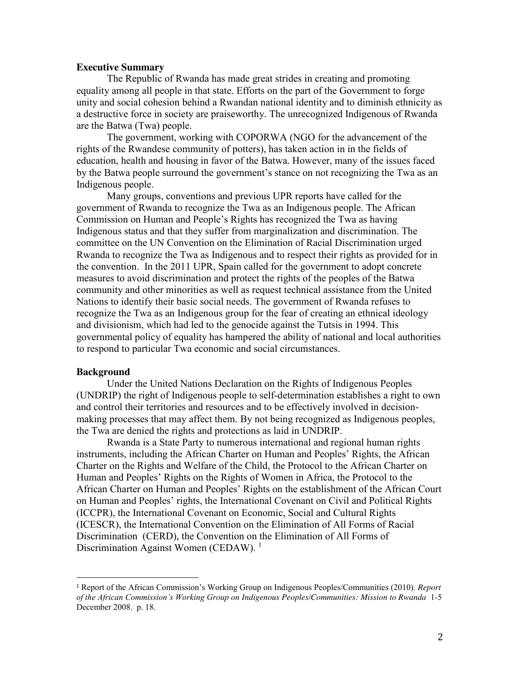### **Executive Summary**

The Republic of Rwanda has made great strides in creating and promoting equality among all people in that state. Efforts on the part of the Government to forge unity and social cohesion behind a Rwandan national identity and to diminish ethnicity as a destructive force in society are praiseworthy. The unrecognized Indigenous of Rwanda are the Batwa (Twa) people.

The government, working with COPORWA (NGO for the advancement of the rights of the Rwandese community of potters), has taken action in in the fields of education, health and housing in favor of the Batwa. However, many of the issues faced by the Batwa people surround the government's stance on not recognizing the Twa as an Indigenous people.

Many groups, conventions and previous UPR reports have called for the government of Rwanda to recognize the Twa as an Indigenous people. The African Commission on Human and People's Rights has recognized the Twa as having Indigenous status and that they suffer from marginalization and discrimination. The committee on the UN Convention on the Elimination of Racial Discrimination urged Rwanda to recognize the Twa as Indigenous and to respect their rights as provided for in the convention. In the 2011 UPR, Spain called for the government to adopt concrete measures to avoid discrimination and protect the rights of the peoples of the Batwa community and other minorities as well as request technical assistance from the United Nations to identify their basic social needs. The government of Rwanda refuses to recognize the Twa as an Indigenous group for the fear of creating an ethnical ideology and divisionism, which had led to the genocide against the Tutsis in 1994. This governmental policy of equality has hampered the ability of national and local authorities to respond to particular Twa economic and social circumstances.

#### **Background**

Under the United Nations Declaration on the Rights of Indigenous Peoples (UNDRIP) the right of Indigenous people to self-determination establishes a right to own and control their territories and resources and to be effectively involved in decisionmaking processes that may affect them. By not being recognized as Indigenous peoples, the Twa are denied the rights and protections as laid in UNDRIP.

Rwanda is a State Party to numerous international and regional human rights instruments, including the African Charter on Human and Peoples' Rights, the African Charter on the Rights and Welfare of the Child, the Protocol to the African Charter on Human and Peoples' Rights on the Rights of Women in Africa, the Protocol to the African Charter on Human and Peoples' Rights on the establishment of the African Court on Human and Peoples' rights, the International Covenant on Civil and Political Rights (ICCPR), the International Covenant on Economic, Social and Cultural Rights (ICESCR), the International Convention on the Elimination of All Forms of Racial Discrimination (CERD), the Convention on the Elimination of All Forms of Discrimination Against Women (CEDAW).<sup>1</sup>

 <sup>1</sup> Report of the African Commission's Working Group on Indigenous Peoples/Communities (2010). *Report of the African Commission's Working Group on Indigenous Peoples/Communities: Mission to Rwanda* 1-5 December 2008. p. 18.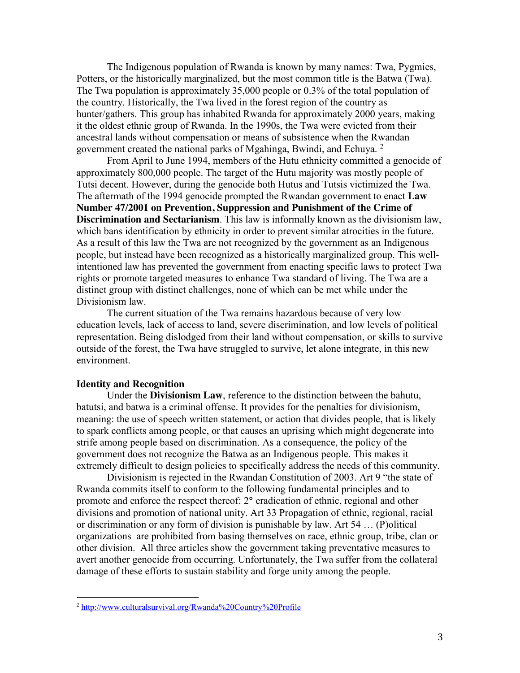The Indigenous population of Rwanda is known by many names: Twa, Pygmies, Potters, or the historically marginalized, but the most common title is the Batwa (Twa). The Twa population is approximately 35,000 people or 0.3% of the total population of the country. Historically, the Twa lived in the forest region of the country as hunter/gathers. This group has inhabited Rwanda for approximately 2000 years, making it the oldest ethnic group of Rwanda. In the 1990s, the Twa were evicted from their ancestral lands without compensation or means of subsistence when the Rwandan government created the national parks of Mgahinga, Bwindi, and Echuya. <sup>2</sup>

From April to June 1994, members of the Hutu ethnicity committed a genocide of approximately 800,000 people. The target of the Hutu majority was mostly people of Tutsi decent. However, during the genocide both Hutus and Tutsis victimized the Twa. The aftermath of the 1994 genocide prompted the Rwandan government to enact **Law Number 47/2001 on Prevention, Suppression and Punishment of the Crime of Discrimination and Sectarianism**. This law is informally known as the divisionism law, which bans identification by ethnicity in order to prevent similar atrocities in the future. As a result of this law the Twa are not recognized by the government as an Indigenous people, but instead have been recognized as a historically marginalized group. This wellintentioned law has prevented the government from enacting specific laws to protect Twa rights or promote targeted measures to enhance Twa standard of living. The Twa are a distinct group with distinct challenges, none of which can be met while under the Divisionism law.

The current situation of the Twa remains hazardous because of very low education levels, lack of access to land, severe discrimination, and low levels of political representation. Being dislodged from their land without compensation, or skills to survive outside of the forest, the Twa have struggled to survive, let alone integrate, in this new environment.

## **Identity and Recognition**

 $\overline{\phantom{a}}$ 

Under the **Divisionism Law**, reference to the distinction between the bahutu, batutsi, and batwa is a criminal offense. It provides for the penalties for divisionism, meaning: the use of speech written statement, or action that divides people, that is likely to spark conflicts among people, or that causes an uprising which might degenerate into strife among people based on discrimination. As a consequence, the policy of the government does not recognize the Batwa as an Indigenous people. This makes it extremely difficult to design policies to specifically address the needs of this community.

Divisionism is rejected in the Rwandan Constitution of 2003. Art 9 "the state of Rwanda commits itself to conform to the following fundamental principles and to promote and enforce the respect thereof: 2**°** eradication of ethnic, regional and other divisions and promotion of national unity. Art 33 Propagation of ethnic, regional, racial or discrimination or any form of division is punishable by law. Art 54 … (P)olitical organizations are prohibited from basing themselves on race, ethnic group, tribe, clan or other division. All three articles show the government taking preventative measures to avert another genocide from occurring. Unfortunately, the Twa suffer from the collateral damage of these efforts to sustain stability and forge unity among the people.

<sup>2</sup> http://www.culturalsurvival.org/Rwanda%20Country%20Profile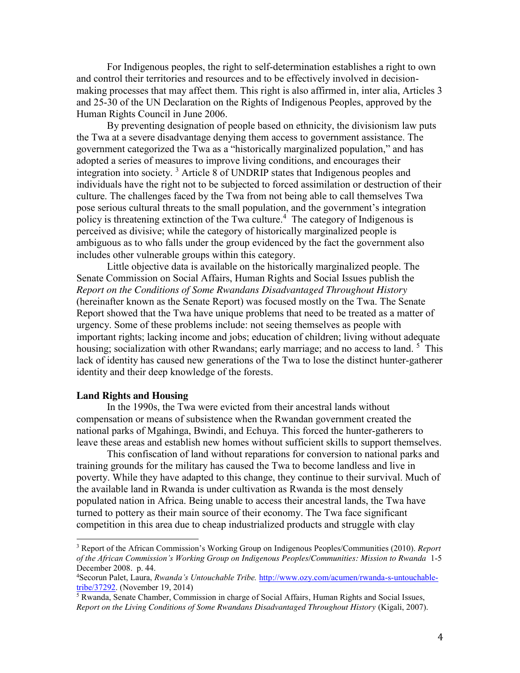For Indigenous peoples, the right to self-determination establishes a right to own and control their territories and resources and to be effectively involved in decisionmaking processes that may affect them. This right is also affirmed in, inter alia, Articles 3 and 25-30 of the UN Declaration on the Rights of Indigenous Peoples, approved by the Human Rights Council in June 2006.

By preventing designation of people based on ethnicity, the divisionism law puts the Twa at a severe disadvantage denying them access to government assistance. The government categorized the Twa as a "historically marginalized population," and has adopted a series of measures to improve living conditions, and encourages their integration into society. <sup>3</sup> Article 8 of UNDRIP states that Indigenous peoples and individuals have the right not to be subjected to forced assimilation or destruction of their culture. The challenges faced by the Twa from not being able to call themselves Twa pose serious cultural threats to the small population, and the government's integration policy is threatening extinction of the Twa culture.<sup>4</sup> The category of Indigenous is perceived as divisive; while the category of historically marginalized people is ambiguous as to who falls under the group evidenced by the fact the government also includes other vulnerable groups within this category.

Little objective data is available on the historically marginalized people. The Senate Commission on Social Affairs, Human Rights and Social Issues publish the *Report on the Conditions of Some Rwandans Disadvantaged Throughout History*  (hereinafter known as the Senate Report) was focused mostly on the Twa. The Senate Report showed that the Twa have unique problems that need to be treated as a matter of urgency. Some of these problems include: not seeing themselves as people with important rights; lacking income and jobs; education of children; living without adequate housing; socialization with other Rwandans; early marriage; and no access to land.<sup>5</sup> This lack of identity has caused new generations of the Twa to lose the distinct hunter-gatherer identity and their deep knowledge of the forests.

### **Land Rights and Housing**

 $\overline{\phantom{a}}$ 

In the 1990s, the Twa were evicted from their ancestral lands without compensation or means of subsistence when the Rwandan government created the national parks of Mgahinga, Bwindi, and Echuya. This forced the hunter-gatherers to leave these areas and establish new homes without sufficient skills to support themselves.

This confiscation of land without reparations for conversion to national parks and training grounds for the military has caused the Twa to become landless and live in poverty. While they have adapted to this change, they continue to their survival. Much of the available land in Rwanda is under cultivation as Rwanda is the most densely populated nation in Africa. Being unable to access their ancestral lands, the Twa have turned to pottery as their main source of their economy. The Twa face significant competition in this area due to cheap industrialized products and struggle with clay

<sup>3</sup> Report of the African Commission's Working Group on Indigenous Peoples/Communities (2010). *Report of the African Commission's Working Group on Indigenous Peoples/Communities: Mission to Rwanda* 1-5 December 2008. p. 44.

<sup>4</sup> Secorun Palet, Laura, *Rwanda's Untouchable Tribe.* http://www.ozy.com/acumen/rwanda-s-untouchabletribe/37292. (November 19, 2014)

<sup>5</sup> Rwanda, Senate Chamber, Commission in charge of Social Affairs, Human Rights and Social Issues, *Report on the Living Conditions of Some Rwandans Disadvantaged Throughout History* (Kigali, 2007).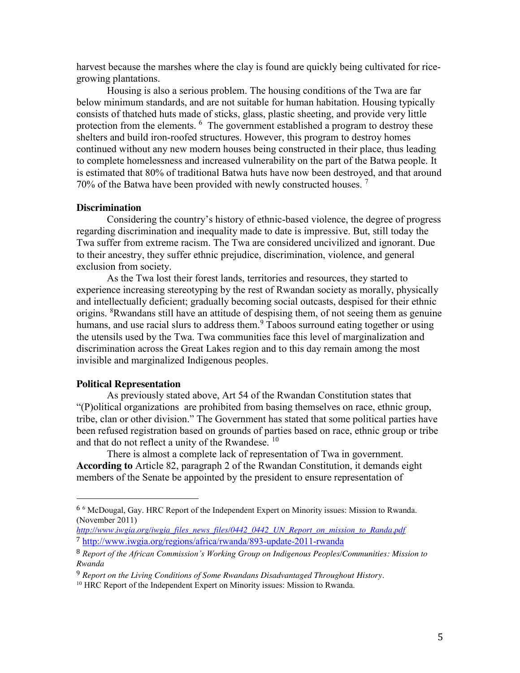harvest because the marshes where the clay is found are quickly being cultivated for ricegrowing plantations.

Housing is also a serious problem. The housing conditions of the Twa are far below minimum standards, and are not suitable for human habitation. Housing typically consists of thatched huts made of sticks, glass, plastic sheeting, and provide very little protection from the elements. <sup>6</sup> The government established a program to destroy these shelters and build iron-roofed structures. However, this program to destroy homes continued without any new modern houses being constructed in their place, thus leading to complete homelessness and increased vulnerability on the part of the Batwa people. It is estimated that 80% of traditional Batwa huts have now been destroyed, and that around 70% of the Batwa have been provided with newly constructed houses.  $7$ 

#### **Discrimination**

Considering the country's history of ethnic-based violence, the degree of progress regarding discrimination and inequality made to date is impressive. But, still today the Twa suffer from extreme racism. The Twa are considered uncivilized and ignorant. Due to their ancestry, they suffer ethnic prejudice, discrimination, violence, and general exclusion from society.

As the Twa lost their forest lands, territories and resources, they started to experience increasing stereotyping by the rest of Rwandan society as morally, physically and intellectually deficient; gradually becoming social outcasts, despised for their ethnic origins. <sup>8</sup>Rwandans still have an attitude of despising them, of not seeing them as genuine humans, and use racial slurs to address them.  $9$  Taboos surround eating together or using the utensils used by the Twa. Twa communities face this level of marginalization and discrimination across the Great Lakes region and to this day remain among the most invisible and marginalized Indigenous peoples.

### **Political Representation**

As previously stated above, Art 54 of the Rwandan Constitution states that "(P)olitical organizations are prohibited from basing themselves on race, ethnic group, tribe, clan or other division." The Government has stated that some political parties have been refused registration based on grounds of parties based on race, ethnic group or tribe and that do not reflect a unity of the Rwandese.<sup>10</sup>

There is almost a complete lack of representation of Twa in government. **According to** Article 82, paragraph 2 of the Rwandan Constitution, it demands eight members of the Senate be appointed by the president to ensure representation of

 <sup>6</sup> <sup>6</sup> McDougal, Gay. HRC Report of the Independent Expert on Minority issues: Mission to Rwanda. (November 2011)

*http://www.iwgia.org/iwgia\_files\_news\_files/0442\_0442\_UN\_Report\_on\_mission\_to\_Randa.pdf* <sup>7</sup> http://www.iwgia.org/regions/africa/rwanda/893-update-2011-rwanda

<sup>8</sup> *Report of the African Commission's Working Group on Indigenous Peoples/Communities: Mission to Rwanda* 

<sup>9</sup> *Report on the Living Conditions of Some Rwandans Disadvantaged Throughout History.* 

<sup>&</sup>lt;sup>10</sup> HRC Report of the Independent Expert on Minority issues: Mission to Rwanda.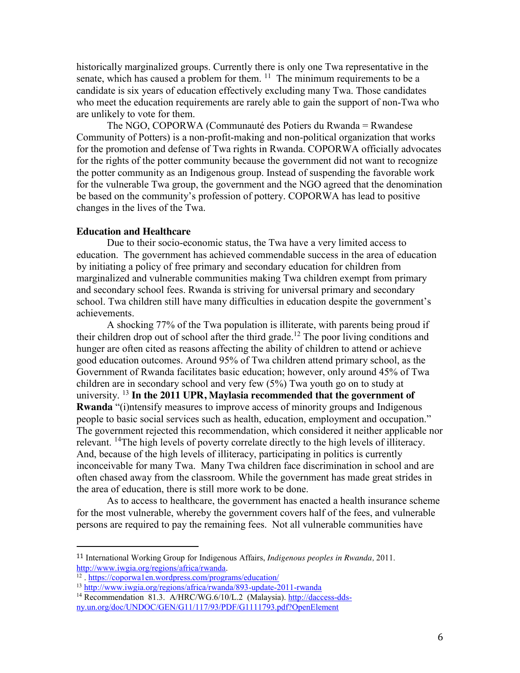historically marginalized groups. Currently there is only one Twa representative in the senate, which has caused a problem for them.  $\frac{11}{1}$  The minimum requirements to be a candidate is six years of education effectively excluding many Twa. Those candidates who meet the education requirements are rarely able to gain the support of non-Twa who are unlikely to vote for them.

The NGO, COPORWA (Communauté des Potiers du Rwanda = Rwandese Community of Potters) is a non-profit-making and non-political organization that works for the promotion and defense of Twa rights in Rwanda. COPORWA officially advocates for the rights of the potter community because the government did not want to recognize the potter community as an Indigenous group. Instead of suspending the favorable work for the vulnerable Twa group, the government and the NGO agreed that the denomination be based on the community's profession of pottery. COPORWA has lead to positive changes in the lives of the Twa.

#### **Education and Healthcare**

Due to their socio-economic status, the Twa have a very limited access to education. The government has achieved commendable success in the area of education by initiating a policy of free primary and secondary education for children from marginalized and vulnerable communities making Twa children exempt from primary and secondary school fees. Rwanda is striving for universal primary and secondary school. Twa children still have many difficulties in education despite the government's achievements.

A shocking 77% of the Twa population is illiterate, with parents being proud if their children drop out of school after the third grade. <sup>12</sup> The poor living conditions and hunger are often cited as reasons affecting the ability of children to attend or achieve good education outcomes. Around 95% of Twa children attend primary school, as the Government of Rwanda facilitates basic education; however, only around 45% of Twa children are in secondary school and very few (5%) Twa youth go on to study at university. <sup>13</sup> **In the 2011 UPR, Maylasia recommended that the government of Rwanda** "(i)ntensify measures to improve access of minority groups and Indigenous people to basic social services such as health, education, employment and occupation." The government rejected this recommendation, which considered it neither applicable nor relevant. <sup>14</sup>The high levels of poverty correlate directly to the high levels of illiteracy. And, because of the high levels of illiteracy, participating in politics is currently inconceivable for many Twa. Many Twa children face discrimination in school and are often chased away from the classroom. While the government has made great strides in the area of education, there is still more work to be done.

As to access to healthcare, the government has enacted a health insurance scheme for the most vulnerable, whereby the government covers half of the fees, and vulnerable persons are required to pay the remaining fees. Not all vulnerable communities have

 <sup>11</sup> International Working Group for Indigenous Affairs, *Indigenous peoples in Rwanda,* 2011. http://www.iwgia.org/regions/africa/rwanda.<br><sup>12</sup>. https://coporwa1en.wordpress.com/programs/education/

<sup>&</sup>lt;sup>13</sup> http://www.iwgia.org/regions/africa/rwanda/893-update-2011-rwanda

<sup>&</sup>lt;sup>14</sup> Recommendation 81.3. A/HRC/WG.6/10/L.2 (Malaysia). http://daccess-ddsny.un.org/doc/UNDOC/GEN/G11/117/93/PDF/G1111793.pdf?OpenElement